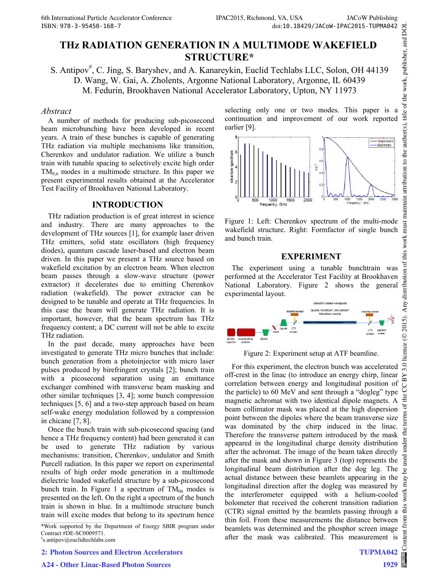# **THz RADIATION GENERATION IN A MULTIMODE WAKEFIELD STRUCTURE\***

S. Antipov<sup>#</sup>, C. Jing, S. Baryshev, and A. Kanareykin, Euclid Techlabs LLC, Solon, OH 44139 D. Wang, W. Gai, A. Zholents, Argonne National Laboratory, Argonne, IL 60439 M. Fedurin, Brookhaven National Accelerator Laboratory, Upton, NY 11973

### *Abstract*

A number of methods for producing sub-picosecond beam microbunching have been developed in recent years. A train of these bunches is capable of generating THz radiation via multiple mechanisms like transition, Cherenkov and undulator radiation. We utilize a bunch train with tunable spacing to selectively excite high order  $TM_{0n}$  modes in a multimode structure. In this paper we present experimental results obtained at the Accelerator Test Facility of Brookhaven National Laboratory.

## **INTRODUCTION**

THz radiation production is of great interest in science and industry. There are many approaches to the development of THz sources [1], for example laser driven THz emitters, solid state oscillators (high frequency diodes), quantum cascade laser-based and electron beam driven. In this paper we present a THz source based on wakefield excitation by an electron beam. When electron beam passes through a slow-wave structure (power extractor) it decelerates due to emitting Cherenkov radiation (wakefield). The power extractor can be designed to be tunable and operate at THz frequencies. In this case the beam will generate THz radiation. It is important, however, that the beam spectrum has THz frequency content; a DC current will not be able to excite THz radiation.

In the past decade, many approaches have been investigated to generate THz micro bunches that include: bunch generation from a photoinjector with micro laser pulses produced by birefringent crystals [2]; bunch train with a picosecond separation using an emittance exchanger combined with transverse beam masking and other similar techniques [3, 4]; some bunch compression techniques [5, 6] and a two-step approach based on beam self-wake energy modulation followed by a compression in chicane [7, 8].

Once the bunch train with sub-picosecond spacing (and hence a THz frequency content) had been generated it can be used to generate THz radiation by various mechanisms: transition, Cherenkov, undulator and Smith Purcell radiation. In this paper we report on experimental results of high order mode generation in a multimode dielectric loaded wakefield structure by a sub-picosecond bunch train. In Figure 1 a spectrum of  $TM_{0n}$  modes is presented on the left. On the right a spectrum of the bunch train is shown in blue. In a multimode structure bunch train will excite modes that belong to its spectrum hence

\*Work supported by the Department of Energy SBIR program under Contract #DE-SC0009571.

selecting only one or two modes. This paper is a continuation and improvement of our work reported earlier [9].



Figure 1: Left: Cherenkov spectrum of the multi-mode wakefield structure. Right: Formfactor of single bunch and bunch train.

# **EXPERIMENT**

The experiment using a tunable bunchtrain was performed at the Accelerator Test Facility at Brookhaven National Laboratory. Figure 2 shows the general experimental layout.



Figure 2: Experiment setup at ATF beamline.

For this experiment, the electron bunch was accelerated off-crest in the linac (to introduce an energy chirp, linear correlation between energy and longitudinal position of the particle) to 60 MeV and sent through a "dogleg" type magnetic achromat with two identical dipole magnets. A beam collimator mask was placed at the high dispersion point between the dipoles where the beam transverse size was dominated by the chirp induced in the linac. Therefore the transverse pattern introduced by the mask appeared in the longitudinal charge density distribution after the achromat. The image of the beam taken directly after the mask and shown in Figure 3 (top) represents the longitudinal beam distribution after the dog leg. The actual distance between these beamlets appearing in the longitudinal direction after the dogleg was measured by the interferometer equipped with a helium-cooled bolometer that received the coherent transition radiation (CTR) signal emitted by the beamlets passing through a thin foil. From these measurements the distance between beamlets was determined and the phosphor screen image after the mask was calibrated. This measurement is

<sup>#</sup> s.antipov@euclidtechlabs.com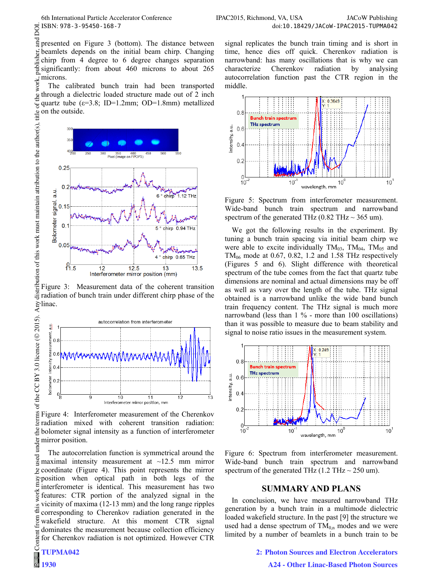© 2015). Any distribution of this work must maintain attribution to the author(s), title of the work, publisher, and DOI.  $\Xi$ Т presented on Figure 3 (bottom). The distance between beamlets depends on the initial beam chirp. Changing publisher. chirp from 4 degree to 6 degree changes separation significantly: from about 460 microns to about 265 microns.

work, The calibrated bunch train had been transported through a dielectric loaded structure made out of 2 inch he quartz tube  $(\epsilon=3.8; ID=1.2mm; OD=1.8mm)$  metallized title of t on the outside.



distribution of this work must maintain attribution to the author(s), Figure 3: Measurement data of the coherent transition radiation of bunch train under different chirp phase of the  $\tilde{\vec{z}}$ linac.



Figure 4: Interferometer measurement of the Cherenkov  $\frac{E}{2}$  radiation mixed with coherent transition radiation: bolometer signal intensity as a function of interferometer under mirror position.

Content from this work may be used under the terms of the CC BY 3.0 licence ( $\epsilon$ The autocorrelation function is symmetrical around the used maximal intensity measurement at  $\sim$ 12.5 mm mirror coordinate (Figure 4). This point represents the mirror position when optical path in both legs of the interferometer is identical. This measurement has two work features: CTR portion of the analyzed signal in the vicinity of maxima (12-13 mm) and the long range ripples this corresponding to Cherenkov radiation generated in the from wakefield structure. At this moment CTR signal dominates the measurement because collection efficiency Content for Cherenkov radiation is not optimized. However CTR

**1930**

time, hence dies off quick. Cherenkov radiation is narrowband: has many oscillations that is why we can characterize Cherenkov radiation by analysing autocorrelation function past the CTR region in the middle.



Figure 5: Spectrum from interferometer measurement. Wide-band bunch train spectrum and narrowband spectrum of the generated THz  $(0.82 \text{ THz} \sim 365 \text{ um})$ .

We got the following results in the experiment. By tuning a bunch train spacing via initial beam chirp we were able to excite individually  $TM_{03}$ ,  $TM_{04}$ ,  $TM_{05}$  and  $TM_{06}$  mode at 0.67, 0.82, 1.2 and 1.58 THz respectively (Figures 5 and 6). Slight difference with theoretical spectrum of the tube comes from the fact that quartz tube dimensions are nominal and actual dimensions may be off as well as vary over the length of the tube. THz signal obtained is a narrowband unlike the wide band bunch train frequency content. The THz signal is much more narrowband (less than  $1\%$  - more than 100 oscillations) than it was possible to measure due to beam stability and signal to noise ratio issues in the measurement system.



Figure 6: Spectrum from interferometer measurement. Wide-band bunch train spectrum and narrowband spectrum of the generated THz  $(1.2 \text{ THz} \sim 250 \text{ um})$ .

## **SUMMARY AND PLANS**

In conclusion, we have measured narrowband THz generation by a bunch train in a multimode dielectric loaded wakefield structure. In the past [9] the structure we used had a dense spectrum of  $TM_{0,n}$  modes and we were limited by a number of beamlets in a bunch train to be

**2: Photon Sources and Electron Accelerators**